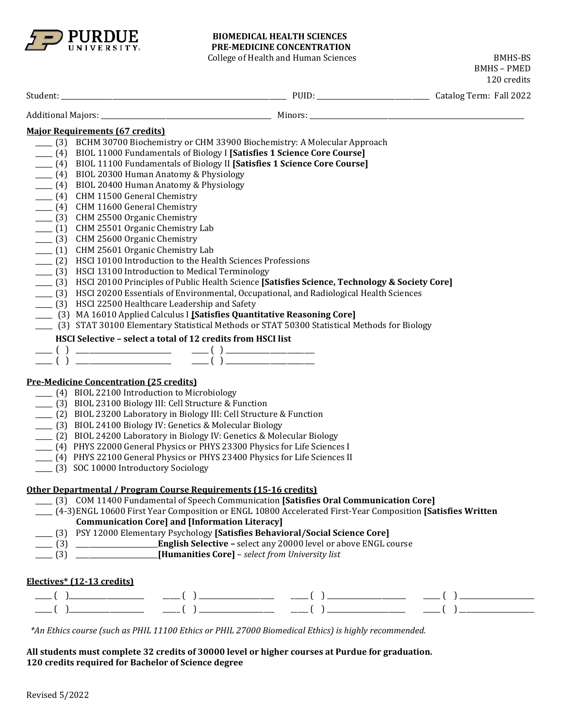

## **BIOMEDICAL HEALTH SCIENCES PRE-MEDICINE CONCENTRATION**

College of Health and Human Sciences BMHS-BS

BMHS – PMED

|                                                                                                                                                                                                                                                                                                                                                                                                                                                                                        | 120 credits |
|----------------------------------------------------------------------------------------------------------------------------------------------------------------------------------------------------------------------------------------------------------------------------------------------------------------------------------------------------------------------------------------------------------------------------------------------------------------------------------------|-------------|
|                                                                                                                                                                                                                                                                                                                                                                                                                                                                                        |             |
|                                                                                                                                                                                                                                                                                                                                                                                                                                                                                        |             |
| <b>Major Requirements (67 credits)</b>                                                                                                                                                                                                                                                                                                                                                                                                                                                 |             |
| [3] BCHM 30700 Biochemistry or CHM 33900 Biochemistry: A Molecular Approach                                                                                                                                                                                                                                                                                                                                                                                                            |             |
| [4] BIOL 11000 Fundamentals of Biology I [Satisfies 1 Science Core Course]                                                                                                                                                                                                                                                                                                                                                                                                             |             |
| [4] BIOL 11100 Fundamentals of Biology II [Satisfies 1 Science Core Course]                                                                                                                                                                                                                                                                                                                                                                                                            |             |
| ____ (4) BIOL 20300 Human Anatomy & Physiology                                                                                                                                                                                                                                                                                                                                                                                                                                         |             |
| ____ (4) BIOL 20400 Human Anatomy & Physiology                                                                                                                                                                                                                                                                                                                                                                                                                                         |             |
| ___ (4) CHM 11500 General Chemistry                                                                                                                                                                                                                                                                                                                                                                                                                                                    |             |
| ___ (4) CHM 11600 General Chemistry                                                                                                                                                                                                                                                                                                                                                                                                                                                    |             |
| ___ (3) CHM 25500 Organic Chemistry                                                                                                                                                                                                                                                                                                                                                                                                                                                    |             |
| ___ (1) CHM 25501 Organic Chemistry Lab                                                                                                                                                                                                                                                                                                                                                                                                                                                |             |
| ___ (3) CHM 25600 Organic Chemistry                                                                                                                                                                                                                                                                                                                                                                                                                                                    |             |
| ___ (1) CHM 25601 Organic Chemistry Lab                                                                                                                                                                                                                                                                                                                                                                                                                                                |             |
| (2) HSCI 10100 Introduction to the Health Sciences Professions                                                                                                                                                                                                                                                                                                                                                                                                                         |             |
| (3) HSCI 13100 Introduction to Medical Terminology                                                                                                                                                                                                                                                                                                                                                                                                                                     |             |
| [3] HSCI 20100 Principles of Public Health Science [Satisfies Science, Technology & Society Core]                                                                                                                                                                                                                                                                                                                                                                                      |             |
| [3] HSCI 20200 Essentials of Environmental, Occupational, and Radiological Health Sciences<br>(3) HSCI 22500 Healthcare Leadership and Safety                                                                                                                                                                                                                                                                                                                                          |             |
| [3] MA 16010 Applied Calculus I [Satisfies Quantitative Reasoning Core]                                                                                                                                                                                                                                                                                                                                                                                                                |             |
| (3) STAT 30100 Elementary Statistical Methods or STAT 50300 Statistical Methods for Biology                                                                                                                                                                                                                                                                                                                                                                                            |             |
|                                                                                                                                                                                                                                                                                                                                                                                                                                                                                        |             |
| HSCI Selective - select a total of 12 credits from HSCI list                                                                                                                                                                                                                                                                                                                                                                                                                           |             |
|                                                                                                                                                                                                                                                                                                                                                                                                                                                                                        |             |
|                                                                                                                                                                                                                                                                                                                                                                                                                                                                                        |             |
| <b>Pre-Medicine Concentration (25 credits)</b>                                                                                                                                                                                                                                                                                                                                                                                                                                         |             |
| (4) BIOL 22100 Introduction to Microbiology                                                                                                                                                                                                                                                                                                                                                                                                                                            |             |
| ___ (3) BIOL 23100 Biology III: Cell Structure & Function                                                                                                                                                                                                                                                                                                                                                                                                                              |             |
| ___ (2) BIOL 23200 Laboratory in Biology III: Cell Structure & Function                                                                                                                                                                                                                                                                                                                                                                                                                |             |
| ___ (3) BIOL 24100 Biology IV: Genetics & Molecular Biology                                                                                                                                                                                                                                                                                                                                                                                                                            |             |
| ___ (2) BIOL 24200 Laboratory in Biology IV: Genetics & Molecular Biology                                                                                                                                                                                                                                                                                                                                                                                                              |             |
| [4] PHYS 22000 General Physics or PHYS 23300 Physics for Life Sciences I                                                                                                                                                                                                                                                                                                                                                                                                               |             |
| ___ (4) PHYS 22100 General Physics or PHYS 23400 Physics for Life Sciences II                                                                                                                                                                                                                                                                                                                                                                                                          |             |
| ___ (3) SOC 10000 Introductory Sociology                                                                                                                                                                                                                                                                                                                                                                                                                                               |             |
|                                                                                                                                                                                                                                                                                                                                                                                                                                                                                        |             |
| Other Departmental / Program Course Requirements (15-16 credits)                                                                                                                                                                                                                                                                                                                                                                                                                       |             |
| [3] COM 11400 Fundamental of Speech Communication [Satisfies Oral Communication Core]                                                                                                                                                                                                                                                                                                                                                                                                  |             |
| (4-3) ENGL 10600 First Year Composition or ENGL 10800 Accelerated First-Year Composition [Satisfies Written]                                                                                                                                                                                                                                                                                                                                                                           |             |
| <b>Communication Core] and [Information Literacy]</b>                                                                                                                                                                                                                                                                                                                                                                                                                                  |             |
| [3] PSY 12000 Elementary Psychology [Satisfies Behavioral/Social Science Core]                                                                                                                                                                                                                                                                                                                                                                                                         |             |
|                                                                                                                                                                                                                                                                                                                                                                                                                                                                                        |             |
|                                                                                                                                                                                                                                                                                                                                                                                                                                                                                        |             |
|                                                                                                                                                                                                                                                                                                                                                                                                                                                                                        |             |
| Electives* (12-13 credits)                                                                                                                                                                                                                                                                                                                                                                                                                                                             |             |
| $\begin{tabular}{lllllllll} \hline & ( & ) & \hline & ( & ) & \hline & ( & ) & \hline & ( & ) & \hline & ( & ) & \hline & ( & ) & \hline & ( & ) & \hline & ( & ) & \hline & ( & ) & \hline & ( & ) & \hline & ( & ) & \hline & ( & ) & \hline & ( & ) & \hline & ( & ) & \hline & ( & ) & \hline & ( & ) & \hline & ( & ) & \hline & ( & ) & \hline & ( & ) & \hline & ( & ) & \hline & ( & ) & \hline & ( & ) & \hline & ( & ) & \hline & ( & ) & \hline & ( & ) & \hline & ( & ) &$ |             |
|                                                                                                                                                                                                                                                                                                                                                                                                                                                                                        |             |
|                                                                                                                                                                                                                                                                                                                                                                                                                                                                                        |             |
| *An Ethics course (such as PHIL 11100 Ethics or PHIL 27000 Biomedical Ethics) is highly recommended.                                                                                                                                                                                                                                                                                                                                                                                   |             |
| All students must complete 32 credits of 30000 level or higher courses at Purdue for graduation.                                                                                                                                                                                                                                                                                                                                                                                       |             |
| 120 credits required for Bachelor of Science degree                                                                                                                                                                                                                                                                                                                                                                                                                                    |             |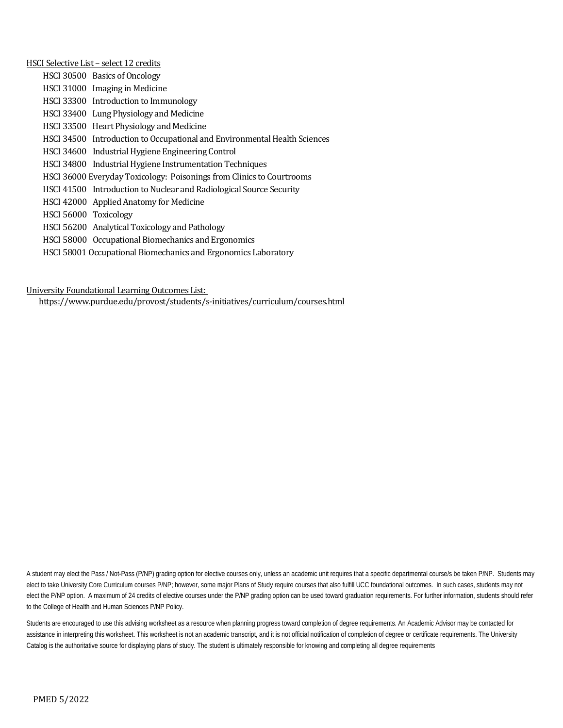HSCI Selective List – select 12 credits HSCI 30500 Basics of Oncology HSCI 31000 Imaging in Medicine HSCI 33300 Introduction to Immunology HSCI 33400 Lung Physiology and Medicine HSCI 33500 Heart Physiology and Medicine HSCI 34500 Introduction to Occupational and Environmental Health Sciences HSCI 34600 Industrial Hygiene Engineering Control HSCI 34800 Industrial Hygiene Instrumentation Techniques HSCI 36000 Everyday Toxicology: Poisonings from Clinics to Courtrooms HSCI 41500 Introduction to Nuclear and Radiological Source Security HSCI 42000 Applied Anatomy for Medicine HSCI 56000 Toxicology HSCI 56200 Analytical Toxicology and Pathology HSCI 58000 Occupational Biomechanics and Ergonomics

HSCI 58001 Occupational Biomechanics and Ergonomics Laboratory

University Foundational Learning Outcomes List:

<https://www.purdue.edu/provost/students/s-initiatives/curriculum/courses.html>

A student may elect the Pass / Not-Pass (P/NP) grading option for elective courses only, unless an academic unit requires that a specific departmental course/s be taken P/NP. Students may elect to take University Core Curriculum courses P/NP; however, some major Plans of Study require courses that also fulfill UCC foundational outcomes. In such cases, students may not elect the P/NP option. A maximum of 24 credits of elective courses under the P/NP grading option can be used toward graduation requirements. For further information, students should refer to the College of Health and Human Sciences P/NP Policy.

Students are encouraged to use this advising worksheet as a resource when planning progress toward completion of degree requirements. An Academic Advisor may be contacted for assistance in interpreting this worksheet. This worksheet is not an academic transcript, and it is not official notification of completion of degree or certificate requirements. The University Catalog is the authoritative source for displaying plans of study. The student is ultimately responsible for knowing and completing all degree requirements